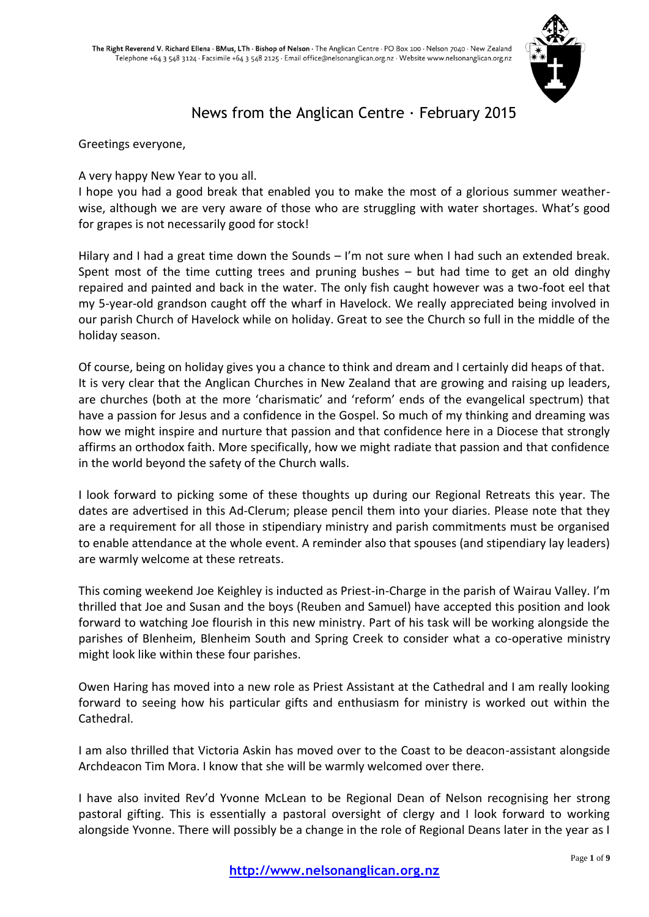

# News from the Anglican Centre · February 2015

Greetings everyone,

A very happy New Year to you all.

I hope you had a good break that enabled you to make the most of a glorious summer weatherwise, although we are very aware of those who are struggling with water shortages. What's good for grapes is not necessarily good for stock!

Hilary and I had a great time down the Sounds - I'm not sure when I had such an extended break. Spent most of the time cutting trees and pruning bushes – but had time to get an old dinghy repaired and painted and back in the water. The only fish caught however was a two-foot eel that my 5-year-old grandson caught off the wharf in Havelock. We really appreciated being involved in our parish Church of Havelock while on holiday. Great to see the Church so full in the middle of the holiday season.

Of course, being on holiday gives you a chance to think and dream and I certainly did heaps of that. It is very clear that the Anglican Churches in New Zealand that are growing and raising up leaders, are churches (both at the more 'charismatic' and 'reform' ends of the evangelical spectrum) that have a passion for Jesus and a confidence in the Gospel. So much of my thinking and dreaming was how we might inspire and nurture that passion and that confidence here in a Diocese that strongly affirms an orthodox faith. More specifically, how we might radiate that passion and that confidence in the world beyond the safety of the Church walls.

I look forward to picking some of these thoughts up during our Regional Retreats this year. The dates are advertised in this Ad-Clerum; please pencil them into your diaries. Please note that they are a requirement for all those in stipendiary ministry and parish commitments must be organised to enable attendance at the whole event. A reminder also that spouses (and stipendiary lay leaders) are warmly welcome at these retreats.

This coming weekend Joe Keighley is inducted as Priest-in-Charge in the parish of Wairau Valley. I'm thrilled that Joe and Susan and the boys (Reuben and Samuel) have accepted this position and look forward to watching Joe flourish in this new ministry. Part of his task will be working alongside the parishes of Blenheim, Blenheim South and Spring Creek to consider what a co-operative ministry might look like within these four parishes.

Owen Haring has moved into a new role as Priest Assistant at the Cathedral and I am really looking forward to seeing how his particular gifts and enthusiasm for ministry is worked out within the Cathedral.

I am also thrilled that Victoria Askin has moved over to the Coast to be deacon-assistant alongside Archdeacon Tim Mora. I know that she will be warmly welcomed over there.

I have also invited Rev'd Yvonne McLean to be Regional Dean of Nelson recognising her strong pastoral gifting. This is essentially a pastoral oversight of clergy and I look forward to working alongside Yvonne. There will possibly be a change in the role of Regional Deans later in the year as I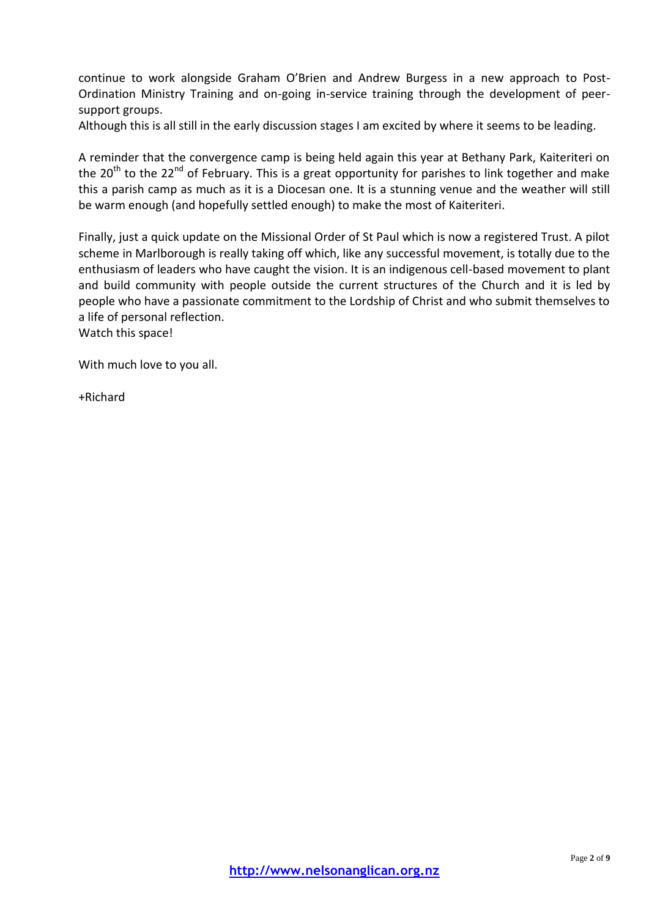continue to work alongside Graham O'Brien and Andrew Burgess in a new approach to Post-Ordination Ministry Training and on-going in-service training through the development of peersupport groups.

Although this is all still in the early discussion stages I am excited by where it seems to be leading.

A reminder that the convergence camp is being held again this year at Bethany Park, Kaiteriteri on the 20<sup>th</sup> to the 22<sup>nd</sup> of February. This is a great opportunity for parishes to link together and make this a parish camp as much as it is a Diocesan one. It is a stunning venue and the weather will still be warm enough (and hopefully settled enough) to make the most of Kaiteriteri.

Finally, just a quick update on the Missional Order of St Paul which is now a registered Trust. A pilot scheme in Marlborough is really taking off which, like any successful movement, is totally due to the enthusiasm of leaders who have caught the vision. It is an indigenous cell-based movement to plant and build community with people outside the current structures of the Church and it is led by people who have a passionate commitment to the Lordship of Christ and who submit themselves to a life of personal reflection.

Watch this space!

With much love to you all.

+Richard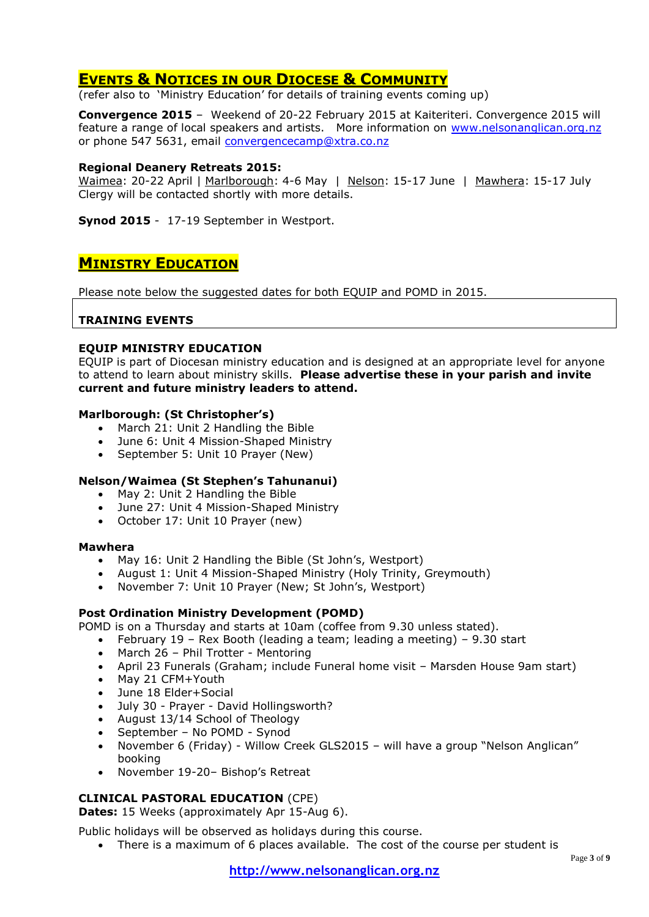# **EVENTS & NOTICES IN OUR DIOCESE & COMMUNITY**

(refer also to 'Ministry Education' for details of training events coming up)

**Convergence 2015** – Weekend of 20-22 February 2015 at Kaiteriteri. Convergence 2015 will feature a range of local speakers and artists. More information on [www.nelsonanglican.org.nz](http://www.nelsonanglican.org.nz/)  or phone 547 5631, email [convergencecamp@xtra.co.nz](mailto:convergencecamp@xtra.co.nz)

### **Regional Deanery Retreats 2015:**

Waimea: 20-22 April | Marlborough: 4-6 May | Nelson: 15-17 June | Mawhera: 15-17 July Clergy will be contacted shortly with more details.

**Synod 2015** - 17-19 September in Westport.

# **MINISTRY EDUCATION**

Please note below the suggested dates for both EQUIP and POMD in 2015.

### **TRAINING EVENTS**

#### **EQUIP MINISTRY EDUCATION**

EQUIP is part of Diocesan ministry education and is designed at an appropriate level for anyone to attend to learn about ministry skills. **Please advertise these in your parish and invite current and future ministry leaders to attend.**

#### **Marlborough: (St Christopher's)**

- March 21: Unit 2 Handling the Bible
- June 6: Unit 4 Mission-Shaped Ministry
- September 5: Unit 10 Prayer (New)

### **Nelson/Waimea (St Stephen's Tahunanui)**

- May 2: Unit 2 Handling the Bible
- June 27: Unit 4 Mission-Shaped Ministry
- October 17: Unit 10 Prayer (new)

#### **Mawhera**

- May 16: Unit 2 Handling the Bible (St John's, Westport)
- August 1: Unit 4 Mission-Shaped Ministry (Holy Trinity, Greymouth)
- November 7: Unit 10 Prayer (New; St John's, Westport)

### **Post Ordination Ministry Development (POMD)**

POMD is on a Thursday and starts at 10am (coffee from 9.30 unless stated).

- February 19 Rex Booth (leading a team; leading a meeting) 9.30 start
- $\bullet$  March 26 Phil Trotter Mentoring
- April 23 Funerals (Graham; include Funeral home visit Marsden House 9am start)
- May 21 CFM+Youth
- June 18 Elder+Social
- July 30 Prayer David Hollingsworth?
- August 13/14 School of Theology
- September No POMD Synod
- November 6 (Friday) Willow Creek GLS2015 will have a group "Nelson Anglican" booking
- November 19-20– Bishop's Retreat

### **CLINICAL PASTORAL EDUCATION** (CPE)

**Dates:** 15 Weeks (approximately Apr 15-Aug 6).

Public holidays will be observed as holidays during this course.

There is a maximum of 6 places available. The cost of the course per student is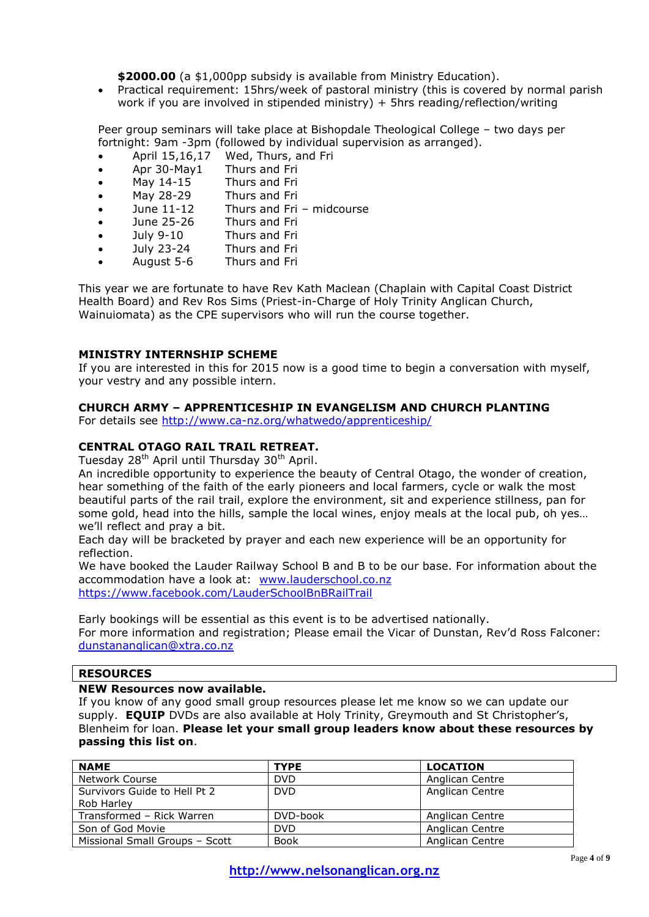**\$2000.00** (a \$1,000pp subsidy is available from Ministry Education).

 Practical requirement: 15hrs/week of pastoral ministry (this is covered by normal parish work if you are involved in stipended ministry) + 5hrs reading/reflection/writing

Peer group seminars will take place at Bishopdale Theological College – two days per fortnight: 9am -3pm (followed by individual supervision as arranged).

- April 15,16,17 Wed, Thurs, and Fri
- Apr 30-May1 Thurs and Fri
- May 14-15 Thurs and Fri
- May 28-29 Thurs and Fri
- June 11-12 Thurs and Fri midcourse
- June 25-26 Thurs and Fri
- July 9-10 Thurs and Fri
- July 23-24 Thurs and Fri
- August 5-6 Thurs and Fri

This year we are fortunate to have Rev Kath Maclean (Chaplain with Capital Coast District Health Board) and Rev Ros Sims (Priest-in-Charge of Holy Trinity Anglican Church, Wainuiomata) as the CPE supervisors who will run the course together.

### **MINISTRY INTERNSHIP SCHEME**

If you are interested in this for 2015 now is a good time to begin a conversation with myself, your vestry and any possible intern.

### **CHURCH ARMY – APPRENTICESHIP IN EVANGELISM AND CHURCH PLANTING**

For details see<http://www.ca-nz.org/whatwedo/apprenticeship/>

### **CENTRAL OTAGO RAIL TRAIL RETREAT.**

Tuesday 28<sup>th</sup> April until Thursday 30<sup>th</sup> April.

An incredible opportunity to experience the beauty of Central Otago, the wonder of creation, hear something of the faith of the early pioneers and local farmers, cycle or walk the most beautiful parts of the rail trail, explore the environment, sit and experience stillness, pan for some gold, head into the hills, sample the local wines, enjoy meals at the local pub, oh yes… we'll reflect and pray a bit.

Each day will be bracketed by prayer and each new experience will be an opportunity for reflection.

We have booked the Lauder Railway School B and B to be our base. For information about the accommodation have a look at: [www.lauderschool.co.nz](http://www.lauderschool.co.nz/) <https://www.facebook.com/LauderSchoolBnBRailTrail>

Early bookings will be essential as this event is to be advertised nationally. For more information and registration; Please email the Vicar of Dunstan, Rev'd Ross Falconer: [dunstananglican@xtra.co.nz](mailto:dunstananglican@xtra.co.nz)

## **RESOURCES**

### **NEW Resources now available.**

If you know of any good small group resources please let me know so we can update our supply. **EQUIP** DVDs are also available at Holy Trinity, Greymouth and St Christopher's, Blenheim for loan. **Please let your small group leaders know about these resources by passing this list on**.

| <b>NAME</b>                    | <b>TYPE</b> | <b>LOCATION</b> |
|--------------------------------|-------------|-----------------|
| Network Course                 | <b>DVD</b>  | Anglican Centre |
| Survivors Guide to Hell Pt 2   | <b>DVD</b>  | Anglican Centre |
| Rob Harley                     |             |                 |
| Transformed - Rick Warren      | DVD-book    | Anglican Centre |
| Son of God Movie               | <b>DVD</b>  | Anglican Centre |
| Missional Small Groups - Scott | <b>Book</b> | Anglican Centre |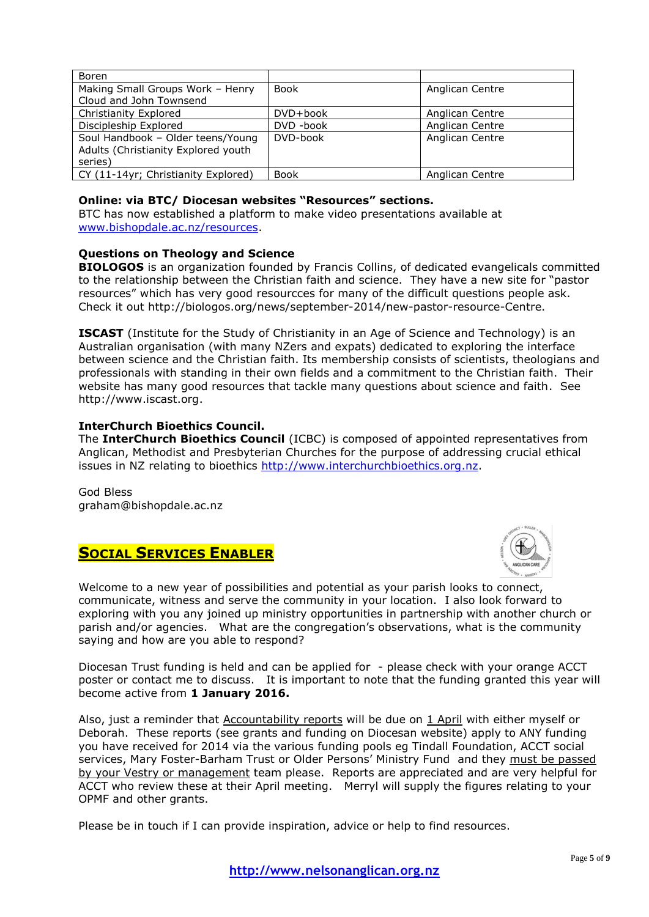| Boren                               |             |                 |
|-------------------------------------|-------------|-----------------|
| Making Small Groups Work - Henry    | <b>Book</b> | Anglican Centre |
| Cloud and John Townsend             |             |                 |
| Christianity Explored               | DVD+book    | Anglican Centre |
| Discipleship Explored               | DVD -book   | Anglican Centre |
| Soul Handbook - Older teens/Young   | DVD-book    | Anglican Centre |
| Adults (Christianity Explored youth |             |                 |
| series)                             |             |                 |
| CY (11-14yr; Christianity Explored) | <b>Book</b> | Anglican Centre |

### **Online: via BTC/ Diocesan websites "Resources" sections.**

BTC has now established a platform to make video presentations available at [www.bishopdale.ac.nz/resources.](http://www.bishopdale.ac.nz/resources)

### **Questions on Theology and Science**

**BIOLOGOS** is an organization founded by Francis Collins, of dedicated evangelicals committed to the relationship between the Christian faith and science. They have a new site for "pastor resources" which has very good resourcces for many of the difficult questions people ask. Check it out http://biologos.org/news/september-2014/new-pastor-resource-Centre.

**ISCAST** (Institute for the Study of Christianity in an Age of Science and Technology) is an Australian organisation (with many NZers and expats) dedicated to exploring the interface between science and the Christian faith. Its membership consists of scientists, theologians and professionals with standing in their own fields and a commitment to the Christian faith. Their website has many good resources that tackle many questions about science and faith. See http://www.iscast.org.

### **InterChurch Bioethics Council.**

The **InterChurch Bioethics Council** (ICBC) is composed of appointed representatives from Anglican, Methodist and Presbyterian Churches for the purpose of addressing crucial ethical issues in NZ relating to bioethics [http://www.interchurchbioethics.org.nz.](http://www.interchurchbioethics.org.nz/)

God Bless graham@bishopdale.ac.nz

# **SOCIAL SERVICES ENABLER**



Welcome to a new year of possibilities and potential as your parish looks to connect, communicate, witness and serve the community in your location. I also look forward to exploring with you any joined up ministry opportunities in partnership with another church or parish and/or agencies. What are the congregation's observations, what is the community saying and how are you able to respond?

Diocesan Trust funding is held and can be applied for - please check with your orange ACCT poster or contact me to discuss. It is important to note that the funding granted this year will become active from **1 January 2016.**

Also, just a reminder that Accountability reports will be due on 1 April with either myself or Deborah. These reports (see grants and funding on Diocesan website) apply to ANY funding you have received for 2014 via the various funding pools eg Tindall Foundation, ACCT social services, Mary Foster-Barham Trust or Older Persons' Ministry Fund and they must be passed by your Vestry or management team please. Reports are appreciated and are very helpful for ACCT who review these at their April meeting. Merryl will supply the figures relating to your OPMF and other grants.

Please be in touch if I can provide inspiration, advice or help to find resources.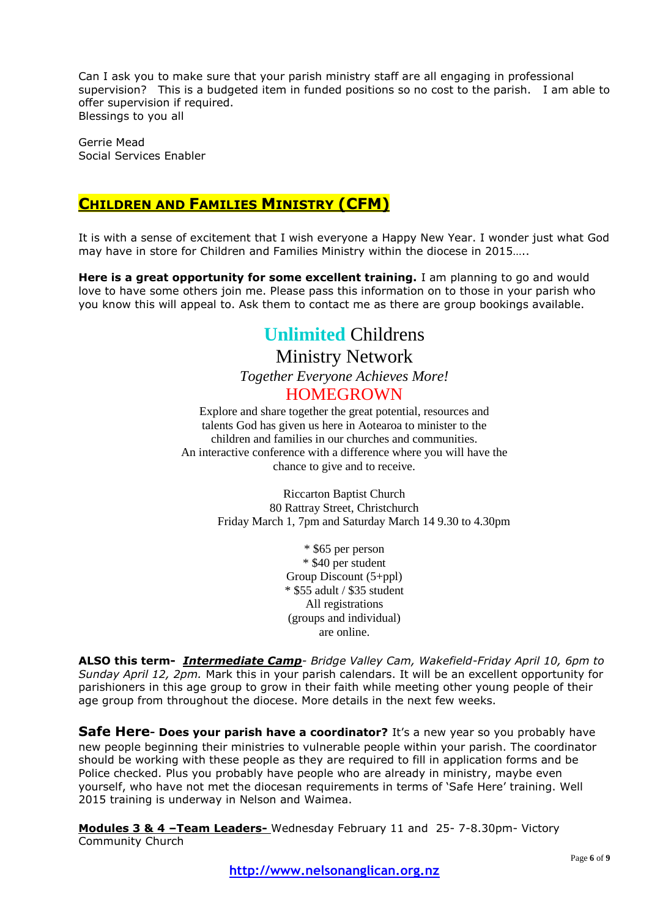Can I ask you to make sure that your parish ministry staff are all engaging in professional supervision? This is a budgeted item in funded positions so no cost to the parish. I am able to offer supervision if required. Blessings to you all

Gerrie Mead Social Services Enabler

# **CHILDREN AND FAMILIES MINISTRY (CFM)**

It is with a sense of excitement that I wish everyone a Happy New Year. I wonder just what God may have in store for Children and Families Ministry within the diocese in 2015…..

**Here is a great opportunity for some excellent training.** I am planning to go and would love to have some others join me. Please pass this information on to those in your parish who you know this will appeal to. Ask them to contact me as there are group bookings available.

# **Unlimited** Childrens Ministry Network *Together Everyone Achieves More!* HOMEGROWN

Explore and share together the great potential, resources and talents God has given us here in Aotearoa to minister to the children and families in our churches and communities. An interactive conference with a difference where you will have the chance to give and to receive.

> Riccarton Baptist Church 80 Rattray Street, Christchurch Friday March 1, 7pm and Saturday March 14 9.30 to 4.30pm

> > \* \$65 per person \* \$40 per student Group Discount (5+ppl) \* \$55 adult / \$35 student All registrations (groups and individual) are online.

**ALSO this term-** *Intermediate Camp- Bridge Valley Cam, Wakefield-Friday April 10, 6pm to Sunday April 12, 2pm.* Mark this in your parish calendars. It will be an excellent opportunity for parishioners in this age group to grow in their faith while meeting other young people of their age group from throughout the diocese. More details in the next few weeks.

**Safe Here-** Does your parish have a coordinator? It's a new year so you probably have new people beginning their ministries to vulnerable people within your parish. The coordinator should be working with these people as they are required to fill in application forms and be Police checked. Plus you probably have people who are already in ministry, maybe even yourself, who have not met the diocesan requirements in terms of 'Safe Here' training. Well 2015 training is underway in Nelson and Waimea.

**Modules 3 & 4 –Team Leaders-** Wednesday February 11 and 25- 7-8.30pm- Victory Community Church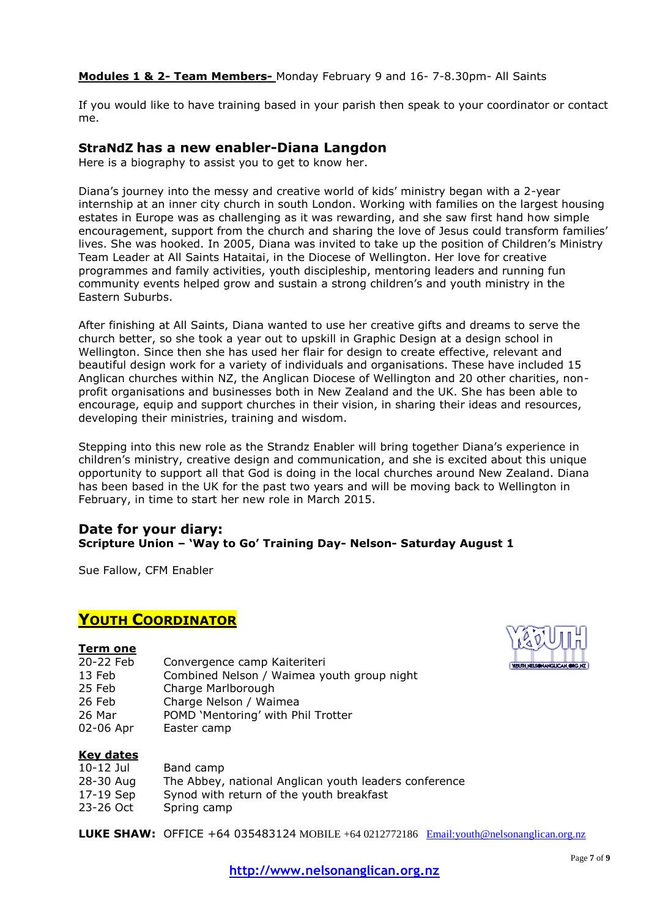**Modules 1 & 2- Team Members-** Monday February 9 and 16- 7-8.30pm- All Saints

If you would like to have training based in your parish then speak to your coordinator or contact me.

# **StraNdZ has a new enabler-Diana Langdon**

Here is a biography to assist you to get to know her.

Diana's journey into the messy and creative world of kids' ministry began with a 2-year internship at an inner city church in south London. Working with families on the largest housing estates in Europe was as challenging as it was rewarding, and she saw first hand how simple encouragement, support from the church and sharing the love of Jesus could transform families' lives. She was hooked. In 2005, Diana was invited to take up the position of Children's Ministry Team Leader at All Saints Hataitai, in the Diocese of Wellington. Her love for creative programmes and family activities, youth discipleship, mentoring leaders and running fun community events helped grow and sustain a strong children's and youth ministry in the Eastern Suburbs.

After finishing at All Saints, Diana wanted to use her creative gifts and dreams to serve the church better, so she took a year out to upskill in Graphic Design at a design school in Wellington. Since then she has used her flair for design to create effective, relevant and beautiful design work for a variety of individuals and organisations. These have included 15 Anglican churches within NZ, the Anglican Diocese of Wellington and 20 other charities, nonprofit organisations and businesses both in New Zealand and the UK. She has been able to encourage, equip and support churches in their vision, in sharing their ideas and resources, developing their ministries, training and wisdom.

Stepping into this new role as the Strandz Enabler will bring together Diana's experience in children's ministry, creative design and communication, and she is excited about this unique opportunity to support all that God is doing in the local churches around New Zealand. Diana has been based in the UK for the past two years and will be moving back to Wellington in February, in time to start her new role in March 2015.

## **Date for your diary: Scripture Union – 'Way to Go' Training Day- Nelson- Saturday August 1**

Sue Fallow, CFM Enabler

# **YOUTH COORDINATOR**

### **Term one**

- 20-22 Feb Convergence camp Kaiteriteri
- 13 Feb Combined Nelson / Waimea youth group night
- 25 Feb Charge Marlborough
- 26 Feb Charge Nelson / Waimea
- 26 Mar POMD 'Mentoring' with Phil Trotter
- 02-06 Apr Easter camp

# **Key dates**

- 10-12 Jul Band camp
- 28-30 Aug The Abbey, national Anglican youth leaders conference
- 17-19 Sep Synod with return of the youth breakfast
- 23-26 Oct Spring camp

**LUKE SHAW:** OFFICE +64 035483124 MOBILE +64 0212772186 [Email:youth@nelsonanglican.org.nz](mailto:youth@nelsonanglican.org.nz)

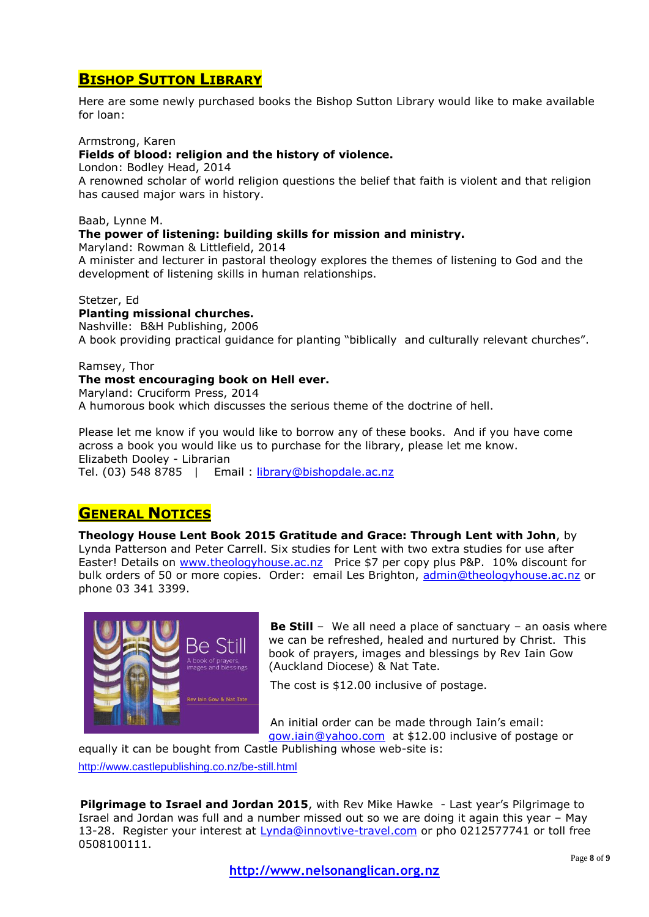# **BISHOP SUTTON LIBRARY**

Here are some newly purchased books the Bishop Sutton Library would like to make available for loan:

### Armstrong, Karen

## **Fields of blood: religion and the history of violence.**

London: Bodley Head, 2014

A renowned scholar of world religion questions the belief that faith is violent and that religion has caused major wars in history.

### Baab, Lynne M.

### **The power of listening: building skills for mission and ministry.**

Maryland: Rowman & Littlefield, 2014

A minister and lecturer in pastoral theology explores the themes of listening to God and the development of listening skills in human relationships.

#### Stetzer, Ed

#### **Planting missional churches.**

Nashville: B&H Publishing, 2006 A book providing practical guidance for planting "biblically and culturally relevant churches".

#### Ramsey, Thor

**The most encouraging book on Hell ever.** Maryland: Cruciform Press, 2014 A humorous book which discusses the serious theme of the doctrine of hell.

Please let me know if you would like to borrow any of these books. And if you have come across a book you would like us to purchase for the library, please let me know. Elizabeth Dooley - Librarian Tel. (03) 548 8785 | Email : [library@bishopdale.ac.nz](mailto:library@bishopdale.ac.nz)

# **GENERAL NOTICES**

**Theology House Lent Book 2015 Gratitude and Grace: Through Lent with John**, by Lynda Patterson and Peter Carrell. Six studies for Lent with two extra studies for use after Easter! Details on [www.theologyhouse.ac.nz](http://www.theologyhouse.ac.nz/) Price \$7 per copy plus P&P. 10% discount for bulk orders of 50 or more copies. Order: email Les Brighton, [admin@theologyhouse.ac.nz](mailto:admin@theologyhouse.ac.nz) or phone 03 341 3399.



**Be Still** – We all need a place of sanctuary – an oasis where we can be refreshed, healed and nurtured by Christ. This book of prayers, images and blessings by Rev Iain Gow (Auckland Diocese) & Nat Tate.

The cost is \$12.00 inclusive of postage.

An initial order can be made through Iain's email: [gow.iain@yahoo.com](mailto:gow.iain@yahoo.com) at \$12.00 inclusive of postage or

equally it can be bought from Castle Publishing whose web-site is: <http://www.castlepublishing.co.nz/be-still.html>

**Pilgrimage to Israel and Jordan 2015**, with Rev Mike Hawke - Last year's Pilgrimage to Israel and Jordan was full and a number missed out so we are doing it again this year – May 13-28. Register your interest at [Lynda@innovtive-travel.com](mailto:Lynda@innovtive-travel.com) or pho 0212577741 or toll free 0508100111.